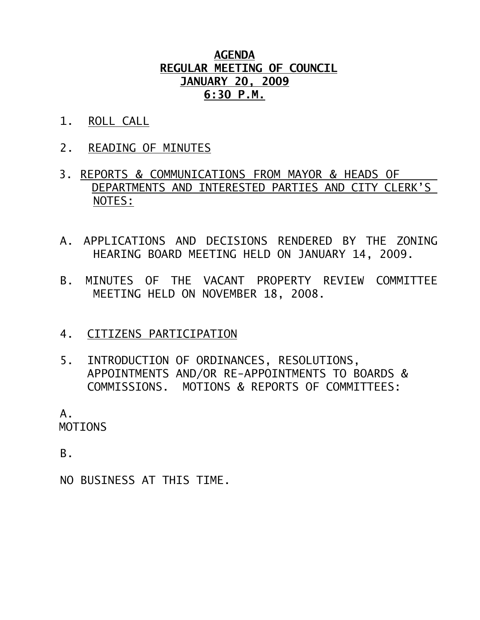## **AGENDA REGULAR MEETING OF COUNCIL JANUARY 20, 2009 6:30 P.M.**

- 1. ROLL CALL
- 2. READING OF MINUTES
- 3. REPORTS & COMMUNICATIONS FROM MAYOR & HEADS OF DEPARTMENTS AND INTERESTED PARTIES AND CITY CLERK'S NOTES:
- A. APPLICATIONS AND DECISIONS RENDERED BY THE ZONING HEARING BOARD MEETING HELD ON JANUARY 14, 2009.
- B. MINUTES OF THE VACANT PROPERTY REVIEW COMMITTEE MEETING HELD ON NOVEMBER 18, 2008.
- 4. CITIZENS PARTICIPATION
- 5. INTRODUCTION OF ORDINANCES, RESOLUTIONS, APPOINTMENTS AND/OR RE-APPOINTMENTS TO BOARDS & COMMISSIONS. MOTIONS & REPORTS OF COMMITTEES:

 A. MOTIONS

B.

NO BUSINESS AT THIS TIME.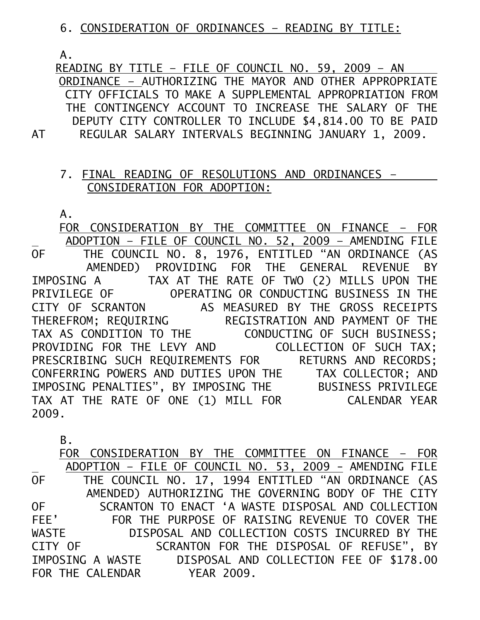6. CONSIDERATION OF ORDINANCES – READING BY TITLE:

A.

 READING BY TITLE – FILE OF COUNCIL NO. 59, 2009 – AN ORDINANCE – AUTHORIZING THE MAYOR AND OTHER APPROPRIATE CITY OFFICIALS TO MAKE A SUPPLEMENTAL APPROPRIATION FROM THE CONTINGENCY ACCOUNT TO INCREASE THE SALARY OF THE DEPUTY CITY CONTROLLER TO INCLUDE \$4,814.00 TO BE PAID AT REGULAR SALARY INTERVALS BEGINNING JANUARY 1, 2009.

## 7. FINAL READING OF RESOLUTIONS AND ORDINANCES – CONSIDERATION FOR ADOPTION:

A.

 FOR CONSIDERATION BY THE COMMITTEE ON FINANCE – FOR ADOPTION – FILE OF COUNCIL NO. 52, 2009 – AMENDING FILE OF THE COUNCIL NO. 8, 1976, ENTITLED "AN ORDINANCE (AS AMENDED) PROVIDING FOR THE GENERAL REVENUE BY IMPOSING A TAX AT THE RATE OF TWO (2) MILLS UPON THE PRIVILEGE OF OPERATING OR CONDUCTING BUSINESS IN THE CITY OF SCRANTON AS MEASURED BY THE GROSS RECEIPTS THEREFROM; REQUIRING REGISTRATION AND PAYMENT OF THE TAX AS CONDITION TO THE CONDUCTING OF SUCH BUSINESS; PROVIDING FOR THE LEVY AND COLLECTION OF SUCH TAX; PRESCRIBING SUCH REQUIREMENTS FOR RETURNS AND RECORDS; CONFERRING POWERS AND DUTIES UPON THE TAX COLLECTOR; AND IMPOSING PENALTIES", BY IMPOSING THE BUSINESS PRIVILEGE TAX AT THE RATE OF ONE (1) MILL FOR CALENDAR YEAR 2009.

B.

 FOR CONSIDERATION BY THE COMMITTEE ON FINANCE – FOR ADOPTION – FILE OF COUNCIL NO. 53, 2009 - AMENDING FILE THE COUNCIL NO. 17, 1994 ENTITLED "AN ORDINANCE (AS AMENDED) AUTHORIZING THE GOVERNING BODY OF THE CITY<br>OF SCRANTON TO ENACT 'A WASTE DISPOSAL AND COLLECTION OF SCRANTON TO ENACT 'A WASTE DISPOSAL AND COLLECTION<br>FEE' FOR THE PURPOSE OF RAISING REVENUE TO COVER THE FEE' FOR THE PURPOSE OF RAISING REVENUE TO COVER THE WASTE DISPOSAL AND COLLECTION COSTS INCURRED BY THE DISPOSAL AND COLLECTION COSTS INCURRED BY THE CITY OF SCRANTON FOR THE DISPOSAL OF REFUSE", BY IMPOSING A WASTE DISPOSAL AND COLLECTION FEE OF \$178.00 FOR THE CALENDAR YEAR 2009.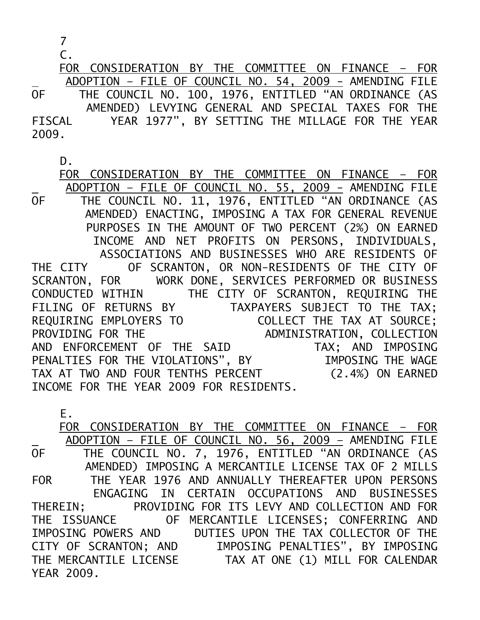7

C.

 FOR CONSIDERATION BY THE COMMITTEE ON FINANCE – FOR ADOPTION – FILE OF COUNCIL NO. 54, 2009 - AMENDING FILE OF THE COUNCIL NO. 100, 1976, ENTITLED "AN ORDINANCE (AS AMENDED) LEVYING GENERAL AND SPECIAL TAXES FOR THE FISCAL YEAR 1977", BY SETTING THE MILLAGE FOR THE YEAR 2009.

D.

 FOR CONSIDERATION BY THE COMMITTEE ON FINANCE – FOR ADOPTION – FILE OF COUNCIL NO. 55, 2009 - AMENDING FILE OF THE COUNCIL NO. 11, 1976, ENTITLED "AN ORDINANCE (AS AMENDED) ENACTING, IMPOSING A TAX FOR GENERAL REVENUE PURPOSES IN THE AMOUNT OF TWO PERCENT (2%) ON EARNED INCOME AND NET PROFITS ON PERSONS, INDIVIDUALS, ASSOCIATIONS AND BUSINESSES WHO ARE RESIDENTS OF THE CITY OF SCRANTON, OR NON-RESIDENTS OF THE CITY OF SCRANTON, FOR WORK DONE, SERVICES PERFORMED OR BUSINESS CONDUCTED WITHIN THE CITY OF SCRANTON, REQUIRING THE FILING OF RETURNS BY TAXPAYERS SUBJECT TO THE TAX; REQUIRING EMPLOYERS TO COLLECT THE TAX AT SOURCE; PROVIDING FOR THE ADMINISTRATION, COLLECTION AND ENFORCEMENT OF THE SAID TAX; AND IMPOSING PENALTIES FOR THE VIOLATIONS", BY IMPOSING THE WAGE TAX AT TWO AND FOUR TENTHS PERCENT (2.4%) ON EARNED INCOME FOR THE YEAR 2009 FOR RESIDENTS.

E. FOR CONSIDERATION BY THE COMMITTEE ON FINANCE – FOR ADOPTION - FILE OF COUNCIL NO. 56, 2009 - AMENDING FILE<br>OF THE COUNCIL NO. 7, 1976, ENTITLED "AN ORDINANCE CAS THE COUNCIL NO. 7, 1976, ENTITLED "AN ORDINANCE (AS AMENDED) IMPOSING A MERCANTILE LICENSE TAX OF 2 MILLS FOR THE YEAR 1976 AND ANNUALLY THEREAFTER UPON PERSONS ENGAGING IN CERTAIN OCCUPATIONS AND BUSINESSES THEREIN; PROVIDING FOR ITS LEVY AND COLLECTION AND FOR THE ISSUANCE OF MERCANTILE LICENSES; CONFERRING AND IMPOSING POWERS AND DUTIES UPON THE TAX COLLECTOR OF THE CITY OF SCRANTON; AND IMPOSING PENALTIES", BY IMPOSING THE MERCANTILE LICENSE TAX AT ONE (1) MILL FOR CALENDAR YEAR 2009.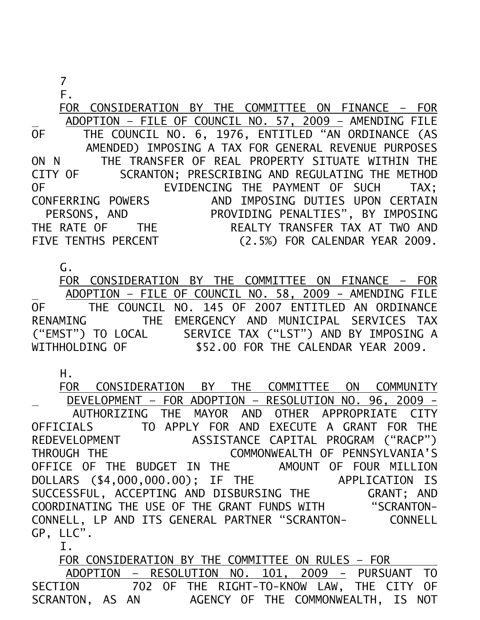F.

 FOR CONSIDERATION BY THE COMMITTEE ON FINANCE – FOR ADOPTION – FILE OF COUNCIL NO. 57, 2009 – AMENDING FILE OF THE COUNCIL NO. 6, 1976, ENTITLED "AN ORDINANCE (AS AMENDED) IMPOSING A TAX FOR GENERAL REVENUE PURPOSES ON N THE TRANSFER OF REAL PROPERTY SITUATE WITHIN THE CITY OF SCRANTON; PRESCRIBING AND REGULATING THE METHOD OF EVIDENCING THE PAYMENT OF SUCH TAX: CONFERRING POWERS AND IMPOSING DUTIES UPON CERTAIN PERSONS, AND PROVIDING PENALTIES", BY IMPOSING THE RATE OF THE REALTY TRANSFER TAX AT TWO AND FIVE TENTHS PERCENT (2.5%) FOR CALENDAR YEAR 2009.

G.

 FOR CONSIDERATION BY THE COMMITTEE ON FINANCE – FOR ADOPTION – FILE OF COUNCIL NO. 58, 2009 - AMENDING FILE OF THE COUNCIL NO. 145 OF 2007 ENTITLED AN ORDINANCE RENAMING THE EMERGENCY AND MUNICIPAL SERVICES TAX ("EMST") TO LOCAL SERVICE TAX ("LST") AND BY IMPOSING A WITHHOLDING OF \$52.00 FOR THE CALENDAR YEAR 2009.

H.

 FOR CONSIDERATION BY THE COMMITTEE ON COMMUNITY DEVELOPMENT – FOR ADOPTION – RESOLUTION NO. 96, 2009 - AUTHORIZING THE MAYOR AND OTHER APPROPRIATE CITY OFFICIALS TO APPLY FOR AND EXECUTE A GRANT FOR THE REDEVELOPMENT ASSISTANCE CAPITAL PROGRAM ("RACP") THROUGH THE COMMONWEALTH OF PENNSYLVANIA'S OFFICE OF THE BUDGET IN THE AMOUNT OF FOUR MILLION DOLLARS (\$4,000,000.00); IF THE APPLICATION IS SUCCESSFUL, ACCEPTING AND DISBURSING THE GRANT; AND COORDINATING THE USE OF THE GRANT FUNDS WITH "SCRANTON-CONNELL, LP AND ITS GENERAL PARTNER "SCRANTON- CONNELL GP, LLC".

I.

 FOR CONSIDERATION BY THE COMMITTEE ON RULES – FOR ADOPTION – RESOLUTION NO. 101, 2009 - PURSUANT TO SECTION 702 OF THE RIGHT-TO-KNOW LAW, THE CITY OF SCRANTON, AS AN AGENCY OF THE COMMONWEALTH, IS NOT AGENCY OF THE COMMONWEALTH, IS NOT